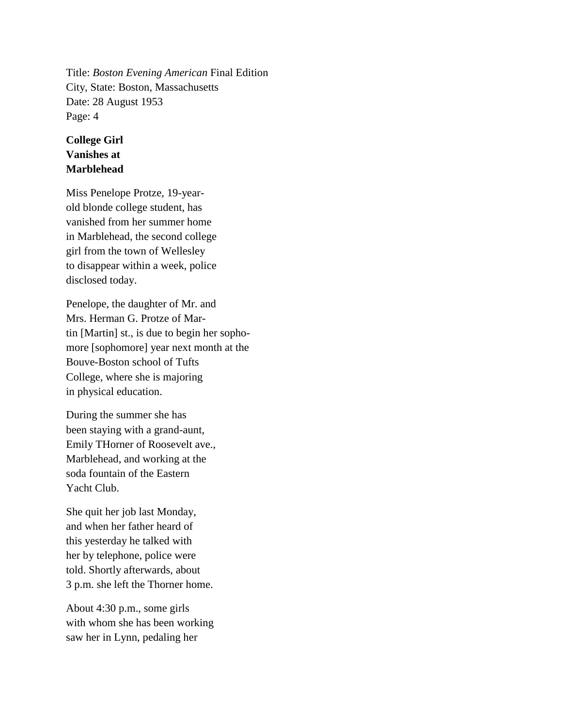Title: *Boston Evening American* Final Edition City, State: Boston, Massachusetts Date: 28 August 1953 Page: 4

## **College Girl Vanishes at Marblehead**

Miss Penelope Protze, 19-yearold blonde college student, has vanished from her summer home in Marblehead, the second college girl from the town of Wellesley to disappear within a week, police disclosed today.

Penelope, the daughter of Mr. and Mrs. Herman G. Protze of Martin [Martin] st., is due to begin her sophomore [sophomore] year next month at the Bouve-Boston school of Tufts College, where she is majoring in physical education.

During the summer she has been staying with a grand-aunt, Emily THorner of Roosevelt ave., Marblehead, and working at the soda fountain of the Eastern Yacht Club.

She quit her job last Monday, and when her father heard of this yesterday he talked with her by telephone, police were told. Shortly afterwards, about 3 p.m. she left the Thorner home.

About 4:30 p.m., some girls with whom she has been working saw her in Lynn, pedaling her